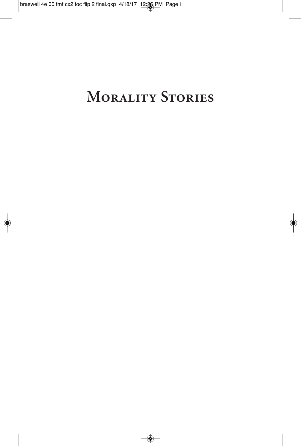## **MORALITY STORIES**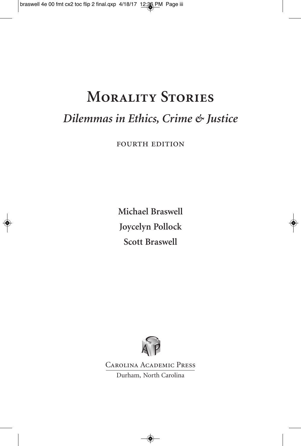# **Morality Stories** *Dilemmas in Ethics, Crime & Justice*

FOURTH EDITION

**Michael Braswell Joycelyn Pollock Scott Braswell**



Carolina Academic Press Durham, North Carolina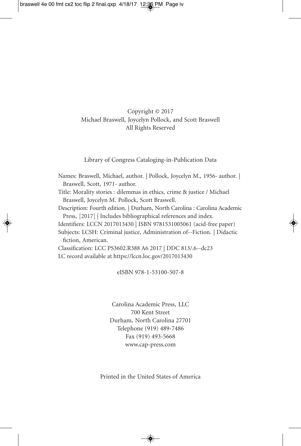#### Copyright © 2017 Michael Braswell, Joycelyn Pollock, and Scott Braswell All Rights Reserved

Library of Congress Cataloging-in-Publication Data

- Names: Braswell, Michael, author. | Pollock, Joycelyn M., 1956- author. | Braswell, Scott, 1971- author.
- Title: Morality stories : dilemmas in ethics, crime & justice / Michael Braswell, Joycelyn M. Pollock, Scott Braswell.
- Description: Fourth edition. | Durham, North Carolina : Carolina Academic Press, [2017] | Includes bibliographical references and index.

Identifiers: LCCN 2017013430 | ISBN 9781531005061 (acid-free paper)

Subjects: LCSH: Criminal justice, Administration of--Fiction. | Didactic fiction, American.

Classification: LCC PS3602.R388 A6 2017 | DDC 813/.6--dc23 LC record available at https://lccn.loc.gov/2017013430

eISBN 978-1-53100-507-8

Carolina Academic Press, LLC 700 Kent Street Durham, North Carolina 27701 Telephone (919) 489-7486 Fax (919) 493-5668 www.cap-press.com

Printed in the United States of America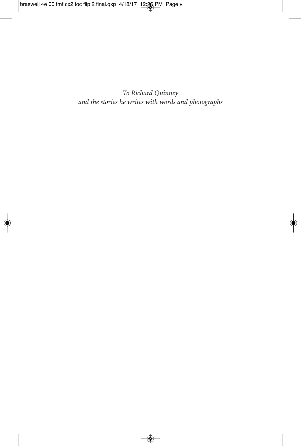*To Richard Quinney and the stories he writes with words and photographs*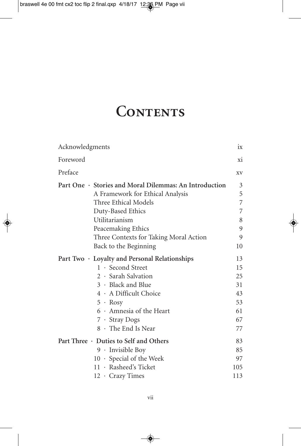# CONTENTS

| Acknowledgments                                        |     |
|--------------------------------------------------------|-----|
| Foreword                                               | хi  |
| Preface                                                | XV  |
| Part One · Stories and Moral Dilemmas: An Introduction | 3   |
| A Framework for Ethical Analysis                       | 5   |
| Three Ethical Models                                   | 7   |
| Duty-Based Ethics                                      | 7   |
| Utilitarianism                                         | 8   |
| Peacemaking Ethics                                     | 9   |
| Three Contexts for Taking Moral Action                 | 9   |
| Back to the Beginning                                  | 10  |
| Part Two $\cdot$ Loyalty and Personal Relationships    | 13  |
| 1 · Second Street                                      | 15  |
| 2 · Sarah Salvation                                    | 25  |
| $3$ · Black and Blue                                   | 31  |
| 4 · A Difficult Choice                                 | 43  |
| $5 \cdot \text{Rosy}$                                  | 53  |
| $6$ $\cdot$ Amnesia of the Heart                       | 61  |
| 7 · Stray Dogs                                         | 67  |
| 8 · The End Is Near                                    | 77  |
| Part Three · Duties to Self and Others                 | 83  |
| $9 \cdot$ Invisible Boy                                | 85  |
| $10 \cdot$ Special of the Week                         | 97  |
| 11 · Rasheed's Ticket                                  | 105 |
| 12 · Crazy Times                                       | 113 |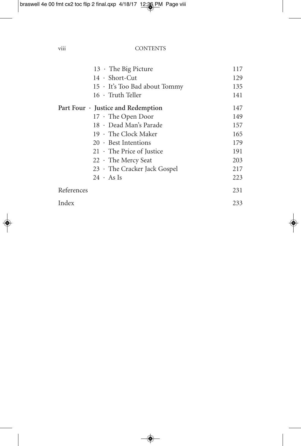### viii CONTENTS

|                                          | $13$ · The Big Picture              | 117 |
|------------------------------------------|-------------------------------------|-----|
|                                          | $14 \cdot$ Short-Cut                | 129 |
|                                          | $15 \cdot$ It's Too Bad about Tommy | 135 |
|                                          | $16 \cdot$ Truth Teller             | 141 |
| Part Four $\cdot$ Justice and Redemption |                                     | 147 |
|                                          | $17 \cdot$ The Open Door            | 149 |
|                                          | 18 · Dead Man's Parade              | 157 |
|                                          | $19$ · The Clock Maker              | 165 |
|                                          | $20 \cdot$ Best Intentions          | 179 |
|                                          | $21$ · The Price of Justice         | 191 |
|                                          | 22 · The Mercy Seat                 | 203 |
|                                          | 23 · The Cracker Jack Gospel        | 217 |
|                                          | $24 \cdot As$ Is                    | 223 |
| References                               |                                     | 231 |
| Index                                    |                                     | 233 |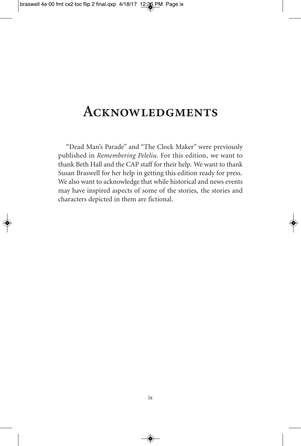## **Acknowledgments**

"Dead Man's Parade" and "The Clock Maker" were previously published in *Remembering Peleliu.* For this edition, we want to thank Beth Hall and the CAP staff for their help. We want to thank Susan Braswell for her help in getting this edition ready for press. We also want to acknowledge that while historical and news events may have inspired aspects of some of the stories, the stories and characters depicted in them are fictional.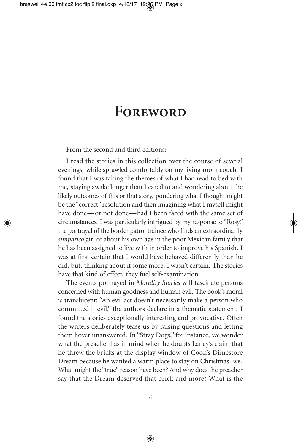## **Foreword**

From the second and third editions:

I read the stories in this collection over the course of several evenings, while sprawled comfortably on my living room couch. I found that I was taking the themes of what I had read to bed with me, staying awake longer than I cared to and wondering about the likely outcomes of this or that story, pondering what I thought might be the "correct" resolution and then imagining what I myself might have done—or not done—had I been faced with the same set of circumstances. I was particularly intrigued by my response to "Rosy," the portrayal of the border patrol trainee who finds an extraordinarily *simpatico* girl of about his own age in the poor Mexican family that he has been assigned to live with in order to improve his Spanish. I was at first certain that I would have behaved differently than he did, but, thinking about it some more, I wasn't certain. The stories have that kind of effect; they fuel self-examination.

The events portrayed in *Morality Stories* will fascinate persons concerned with human goodness and human evil. The book's moral is translucent: "An evil act doesn't necessarily make a person who committed it evil," the authors declare in a thematic statement. I found the stories exceptionally interesting and provocative. Often the writers deliberately tease us by raising questions and letting them hover unanswered. In "Stray Dogs," for instance, we wonder what the preacher has in mind when he doubts Laney's claim that he threw the bricks at the display window of Cook's Dimestore Dream because he wanted a warm place to stay on Christmas Eve. What might the "true" reason have been? And why does the preacher say that the Dream deserved that brick and more? What is the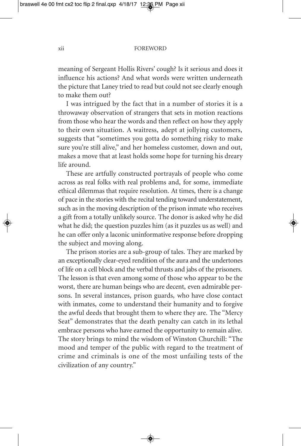meaning of Sergeant Hollis Rivers' cough? Is it serious and does it influence his actions? And what words were written underneath the picture that Laney tried to read but could not see clearly enough to make them out?

I was intrigued by the fact that in a number of stories it is a throwaway observation of strangers that sets in motion reactions from those who hear the words and then reflect on how they apply to their own situation. A waitress, adept at jollying customers, suggests that "sometimes you gotta do something risky to make sure you're still alive," and her homeless customer, down and out, makes a move that at least holds some hope for turning his dreary life around.

These are artfully constructed portrayals of people who come across as real folks with real problems and, for some, immediate ethical dilemmas that require resolution. At times, there is a change of pace in the stories with the recital tending toward understatement, such as in the moving description of the prison inmate who receives a gift from a totally unlikely source. The donor is asked why he did what he did; the question puzzles him (as it puzzles us as well) and he can offer only a laconic uninformative response before dropping the subject and moving along.

The prison stories are a sub-group of tales. They are marked by an exceptionally clear-eyed rendition of the aura and the undertones of life on a cell block and the verbal thrusts and jabs of the prisoners. The lesson is that even among some of those who appear to be the worst, there are human beings who are decent, even admirable persons. In several instances, prison guards, who have close contact with inmates, come to understand their humanity and to forgive the awful deeds that brought them to where they are. The "Mercy Seat" demonstrates that the death penalty can catch in its lethal embrace persons who have earned the opportunity to remain alive. The story brings to mind the wisdom of Winston Churchill: "The mood and temper of the public with regard to the treatment of crime and criminals is one of the most unfailing tests of the civilization of any country."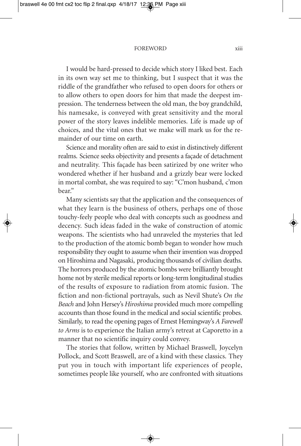#### FOREWORD xiii

I would be hard-pressed to decide which story I liked best. Each in its own way set me to thinking, but I suspect that it was the riddle of the grandfather who refused to open doors for others or to allow others to open doors for him that made the deepest impression. The tenderness between the old man, the boy grandchild, his namesake, is conveyed with great sensitivity and the moral power of the story leaves indelible memories. Life is made up of choices, and the vital ones that we make will mark us for the remainder of our time on earth.

Science and morality often are said to exist in distinctively different realms. Science seeks objectivity and presents a façade of detachment and neutrality. This façade has been satirized by one writer who wondered whether if her husband and a grizzly bear were locked in mortal combat, she was required to say: "C'mon husband, c'mon bear."

Many scientists say that the application and the consequences of what they learn is the business of others, perhaps one of those touchy-feely people who deal with concepts such as goodness and decency. Such ideas faded in the wake of construction of atomic weapons. The scientists who had unraveled the mysteries that led to the production of the atomic bomb began to wonder how much responsibility they ought to assume when their invention was dropped on Hiroshima and Nagasaki, producing thousands of civilian deaths. The horrors produced by the atomic bombs were brilliantly brought home not by sterile medical reports or long-term longitudinal studies of the results of exposure to radiation from atomic fusion. The fiction and non-fictional portrayals, such as Nevil Shute's *On the Beach* and John Hersey's *Hiroshima* provided much more compelling accounts than those found in the medical and social scientific probes. Similarly, to read the opening pages of Ernest Hemingway's *A Farewell to Arms* is to experience the Italian army's retreat at Caporetto in a manner that no scientific inquiry could convey.

The stories that follow, written by Michael Braswell, Joycelyn Pollock, and Scott Braswell, are of a kind with these classics. They put you in touch with important life experiences of people, sometimes people like yourself, who are confronted with situations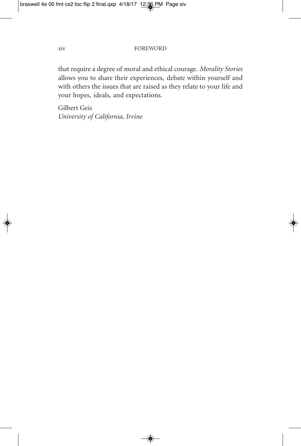that require a degree of moral and ethical courage. *Morality Stories* allows you to share their experiences, debate within yourself and with others the issues that are raised as they relate to your life and your hopes, ideals, and expectations.

Gilbert Geis *University of California, Irvine*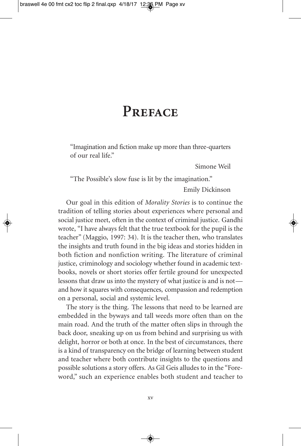## **Preface**

"Imagination and fiction make up more than three-quarters of our real life."

Simone Weil

"The Possible's slow fuse is lit by the imagination."

Emily Dickinson

Our goal in this edition of *Morality Stories* is to continue the tradition of telling stories about experiences where personal and social justice meet, often in the context of criminal justice. Gandhi wrote, "I have always felt that the true textbook for the pupil is the teacher" (Maggio, 1997: 34). It is the teacher then, who translates the insights and truth found in the big ideas and stories hidden in both fiction and nonfiction writing. The literature of criminal justice, criminology and sociology whether found in academic textbooks, novels or short stories offer fertile ground for unexpected lessons that draw us into the mystery of what justice is and is not and how it squares with consequences, compassion and redemption on a personal, social and systemic level.

The story is the thing. The lessons that need to be learned are embedded in the byways and tall weeds more often than on the main road. And the truth of the matter often slips in through the back door, sneaking up on us from behind and surprising us with delight, horror or both at once. In the best of circumstances, there is a kind of transparency on the bridge of learning between student and teacher where both contribute insights to the questions and possible solutions a story offers. As Gil Geis alludes to in the "Foreword," such an experience enables both student and teacher to